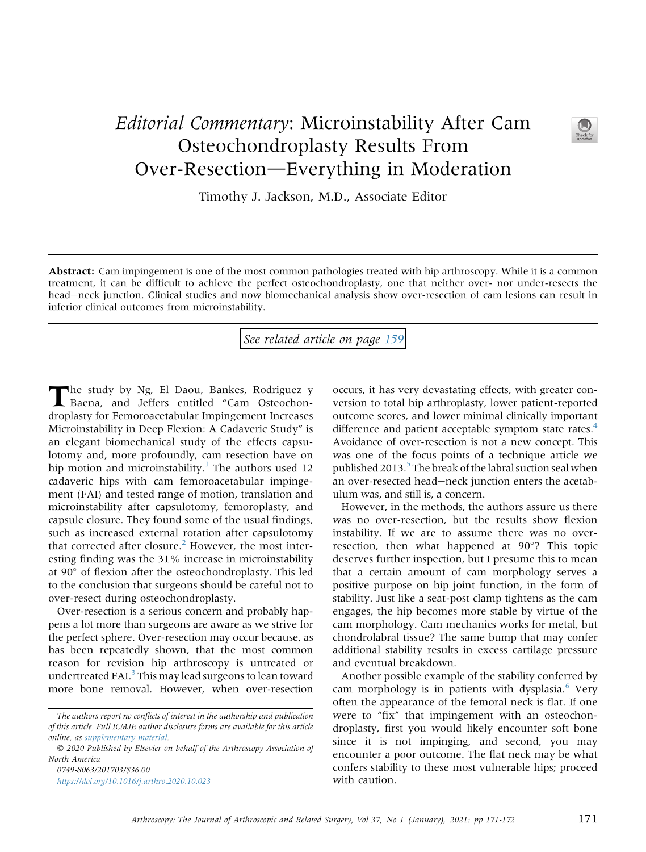## Editorial Commentary: Microinstability After Cam Osteochondroplasty Results From Over-Resection-Everything in Moderation



Timothy J. Jackson, M.D., Associate Editor

Abstract: Cam impingement is one of the most common pathologies treated with hip arthroscopy. While it is a common treatment, it can be difficult to achieve the perfect osteochondroplasty, one that neither over- nor under-resects the head-neck junction. Clinical studies and now biomechanical analysis show over-resection of cam lesions can result in inferior clinical outcomes from microinstability.

## See related article on page [159](http://www.arthroscopyjournal.org/article/S0749-8063(20)30732-5/abstract)

The study by Ng, El Daou, Bankes, Rodriguez y Baena, and Jeffers entitled "Cam Osteochondroplasty for Femoroacetabular Impingement Increases Microinstability in Deep Flexion: A Cadaveric Study" is an elegant biomechanical study of the effects capsulotomy and, more profoundly, cam resection have on hip motion and microinstability.<sup>[1](#page-1-0)</sup> The authors used 12 cadaveric hips with cam femoroacetabular impingement (FAI) and tested range of motion, translation and microinstability after capsulotomy, femoroplasty, and capsule closure. They found some of the usual findings, such as increased external rotation after capsulotomy that corrected after closure. $<sup>2</sup>$  $<sup>2</sup>$  $<sup>2</sup>$  However, the most inter-</sup> esting finding was the 31% increase in microinstability at 90 $^{\circ}$  of flexion after the osteochondroplasty. This led to the conclusion that surgeons should be careful not to over-resect during osteochondroplasty.

Over-resection is a serious concern and probably happens a lot more than surgeons are aware as we strive for the perfect sphere. Over-resection may occur because, as has been repeatedly shown, that the most common reason for revision hip arthroscopy is untreated or undertreated FAI.<sup>[3](#page-1-2)</sup> This may lead surgeons to lean toward more bone removal. However, when over-resection

0749-8063/201703/\$36.00 <https://doi.org/10.1016/j.arthro.2020.10.023> occurs, it has very devastating effects, with greater conversion to total hip arthroplasty, lower patient-reported outcome scores, and lower minimal clinically important difference and patient acceptable symptom state rates.<sup>4</sup> Avoidance of over-resection is not a new concept. This was one of the focus points of a technique article we published 2013. $^5$  $^5$  The break of the labral suction seal when an over-resected head-neck junction enters the acetabulum was, and still is, a concern.

However, in the methods, the authors assure us there was no over-resection, but the results show flexion instability. If we are to assume there was no overresection, then what happened at 90? This topic deserves further inspection, but I presume this to mean that a certain amount of cam morphology serves a positive purpose on hip joint function, in the form of stability. Just like a seat-post clamp tightens as the cam engages, the hip becomes more stable by virtue of the cam morphology. Cam mechanics works for metal, but chondrolabral tissue? The same bump that may confer additional stability results in excess cartilage pressure and eventual breakdown.

Another possible example of the stability conferred by cam morphology is in patients with dysplasia. $6$  Very often the appearance of the femoral neck is flat. If one were to "fix" that impingement with an osteochondroplasty, first you would likely encounter soft bone since it is not impinging, and second, you may encounter a poor outcome. The flat neck may be what confers stability to these most vulnerable hips; proceed with caution.

The authors report no conflicts of interest in the authorship and publication of this article. Full ICMJE author disclosure forms are available for this article online, as supplementary material.

2020 Published by Elsevier on behalf of the Arthroscopy Association of North America